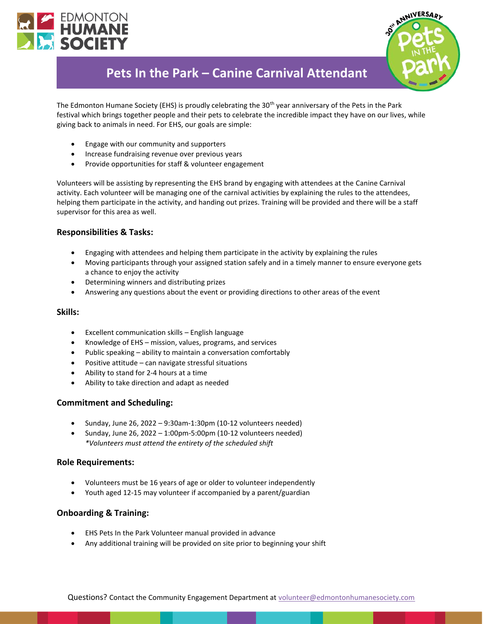



# **Pets In the Park – Canine Carnival Attendant**

The Edmonton Humane Society (EHS) is proudly celebrating the 30<sup>th</sup> year anniversary of the Pets in the Park festival which brings together people and their pets to celebrate the incredible impact they have on our lives, while giving back to animals in need. For EHS, our goals are simple:

- Engage with our community and supporters
- Increase fundraising revenue over previous years
- Provide opportunities for staff & volunteer engagement

Volunteers will be assisting by representing the EHS brand by engaging with attendees at the Canine Carnival activity. Each volunteer will be managing one of the carnival activities by explaining the rules to the attendees, helping them participate in the activity, and handing out prizes. Training will be provided and there will be a staff supervisor for this area as well.

## **Responsibilities & Tasks:**

- Engaging with attendees and helping them participate in the activity by explaining the rules
- Moving participants through your assigned station safely and in a timely manner to ensure everyone gets a chance to enjoy the activity
- Determining winners and distributing prizes
- Answering any questions about the event or providing directions to other areas of the event

#### **Skills:**

- Excellent communication skills English language
- Knowledge of EHS mission, values, programs, and services
- Public speaking ability to maintain a conversation comfortably
- Positive attitude can navigate stressful situations
- Ability to stand for 2-4 hours at a time
- Ability to take direction and adapt as needed

#### **Commitment and Scheduling:**

- Sunday, June 26, 2022 9:30am-1:30pm (10-12 volunteers needed)
- Sunday, June 26, 2022 1:00pm-5:00pm (10-12 volunteers needed) *\*Volunteers must attend the entirety of the scheduled shift*

#### **Role Requirements:**

- Volunteers must be 16 years of age or older to volunteer independently
- Youth aged 12-15 may volunteer if accompanied by a parent/guardian

### **Onboarding & Training:**

- EHS Pets In the Park Volunteer manual provided in advance
- Any additional training will be provided on site prior to beginning your shift